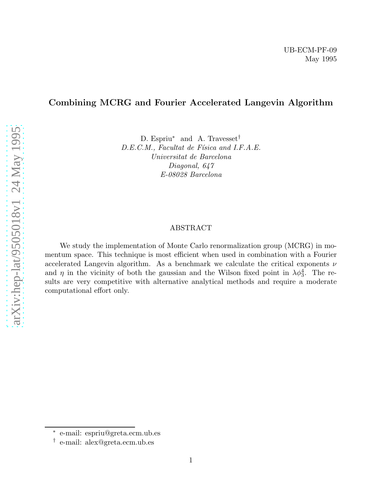# Combining MCRG and Fourier Accelerated Langevin Algorithm

D. Espriu<sup>\*</sup> and A. Travesset<sup>†</sup> D.E.C.M., Facultat de Física and I.F.A.E. Universitat de Barcelona Diagonal, 647 E-08028 Barcelona

# ABSTRACT

We study the implementation of Monte Carlo renormalization group (MCRG) in momentum space. This technique is most efficient when used in combination with a Fourier accelerated Langevin algorithm. As a benchmark we calculate the critical exponents  $\nu$ and  $\eta$  in the vicinity of both the gaussian and the Wilson fixed point in  $\lambda \phi_3^4$ . The results are very competitive with alternative analytical methods and require a moderate computational effort only.

<sup>∗</sup> e-mail: espriu@greta.ecm.ub.es

<sup>†</sup> e-mail: alex@greta.ecm.ub.es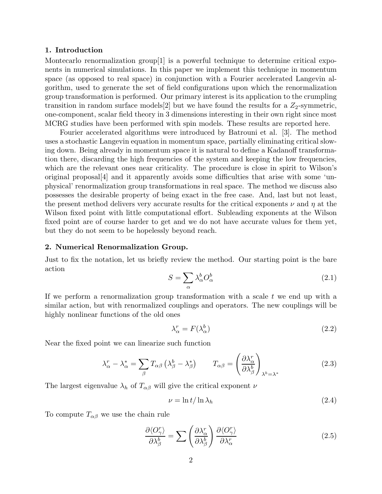## 1. Introduction

Montecarlo renormalization group[1] is a powerful technique to determine critical exponents in numerical simulations. In this paper we implement this technique in momentum space (as opposed to real space) in conjunction with a Fourier accelerated Langevin algorithm, used to generate the set of field configurations upon which the renormalization group transformation is performed. Our primary interest is its application to the crumpling transition in random surface models [2] but we have found the results for a  $Z_2$ -symmetric, one-component, scalar field theory in 3 dimensions interesting in their own right since most MCRG studies have been performed with spin models. These results are reported here.

Fourier accelerated algorithms were introduced by Batrouni et al. [3]. The method uses a stochastic Langevin equation in momentum space, partially eliminating critical slowing down. Being already in momentum space it is natural to define a Kadanoff transformation there, discarding the high frequencies of the system and keeping the low frequencies, which are the relevant ones near criticality. The procedure is close in spirit to Wilson's original proposal[4] and it apparently avoids some difficulties that arise with some 'unphysical' renormalization group transformations in real space. The method we discuss also possesses the desirable property of being exact in the free case. And, last but not least, the present method delivers very accurate results for the critical exponents  $\nu$  and  $\eta$  at the Wilson fixed point with little computational effort. Subleading exponents at the Wilson fixed point are of course harder to get and we do not have accurate values for them yet, but they do not seem to be hopelessly beyond reach.

#### 2. Numerical Renormalization Group.

Just to fix the notation, let us briefly review the method. Our starting point is the bare action

$$
S = \sum_{\alpha} \lambda_{\alpha}^{b} O_{\alpha}^{b}
$$
 (2.1)

If we perform a renormalization group transformation with a scale  $t$  we end up with a similar action, but with renormalized couplings and operators. The new couplings will be highly nonlinear functions of the old ones

$$
\lambda_{\alpha}^r = F(\lambda_{\alpha}^b)
$$
 (2.2)

Near the fixed point we can linearize such function

$$
\lambda_{\alpha}^{r} - \lambda_{\alpha}^{*} = \sum_{\beta} T_{\alpha\beta} \left( \lambda_{\beta}^{b} - \lambda_{\beta}^{*} \right) \qquad T_{\alpha\beta} = \left( \frac{\partial \lambda_{\alpha}^{r}}{\partial \lambda_{\beta}^{b}} \right)_{\lambda^{b} = \lambda^{*}}
$$
(2.3)

The largest eigenvalue  $\lambda_h$  of  $T_{\alpha\beta}$  will give the critical exponent  $\nu$ 

$$
\nu = \ln t / \ln \lambda_h \tag{2.4}
$$

To compute  $T_{\alpha\beta}$  we use the chain rule

$$
\frac{\partial \langle O_{\gamma}^{r} \rangle}{\partial \lambda_{\beta}^{b}} = \sum \left( \frac{\partial \lambda_{\alpha}^{r}}{\partial \lambda_{\beta}^{b}} \right) \frac{\partial \langle O_{\gamma}^{r} \rangle}{\partial \lambda_{\alpha}^{r}} \tag{2.5}
$$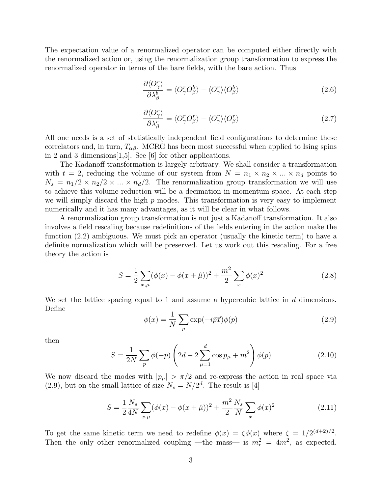The expectation value of a renormalized operator can be computed either directly with the renormalized action or, using the renormalization group transformation to express the renormalized operator in terms of the bare fields, with the bare action. Thus

$$
\frac{\partial \langle O^r_{\gamma} \rangle}{\partial \lambda^b_{\beta}} = \langle O^r_{\gamma} O^b_{\beta} \rangle - \langle O^r_{\gamma} \rangle \langle O^b_{\beta} \rangle \tag{2.6}
$$

$$
\frac{\partial \langle O_{\gamma}^{r} \rangle}{\partial \lambda_{\beta}^{r}} = \langle O_{\gamma}^{r} O_{\beta}^{r} \rangle - \langle O_{\gamma}^{r} \rangle \langle O_{\beta}^{r} \rangle \tag{2.7}
$$

All one needs is a set of statistically independent field configurations to determine these correlators and, in turn,  $T_{\alpha\beta}$ . MCRG has been most successful when applied to Ising spins in 2 and 3 dimensions[1,5]. See [6] for other applications.

The Kadanoff transformation is largely arbitrary. We shall consider a transformation with  $t = 2$ , reducing the volume of our system from  $N = n_1 \times n_2 \times ... \times n_d$  points to  $N_s = n_1/2 \times n_2/2 \times ... \times n_d/2$ . The renormalization group transformation we will use to achieve this volume reduction will be a decimation in momentum space. At each step we will simply discard the high  $p$  modes. This transformation is very easy to implement numerically and it has many advantages, as it will be clear in what follows.

A renormalization group transformation is not just a Kadanoff transformation. It also involves a field rescaling because redefinitions of the fields entering in the action make the function (2.2) ambiguous. We must pick an operator (usually the kinetic term) to have a definite normalization which will be preserved. Let us work out this rescaling. For a free theory the action is

$$
S = \frac{1}{2} \sum_{x,\mu} (\phi(x) - \phi(x + \hat{\mu}))^{2} + \frac{m^{2}}{2} \sum_{x} \phi(x)^{2}
$$
 (2.8)

We set the lattice spacing equal to 1 and assume a hypercubic lattice in  $d$  dimensions. Define

$$
\phi(x) = \frac{1}{N} \sum_{p} \exp(-i\vec{p}\vec{x}) \phi(p) \tag{2.9}
$$

then

$$
S = \frac{1}{2N} \sum_{p} \phi(-p) \left(2d - 2 \sum_{\mu=1}^{d} \cos p_{\mu} + m^{2} \right) \phi(p)
$$
 (2.10)

We now discard the modes with  $|p_\mu| > \pi/2$  and re-express the action in real space via  $(2.9)$ , but on the small lattice of size  $N_s = N/2^d$ . The result is [4]

$$
S = \frac{1}{2} \frac{N_s}{4N} \sum_{x,\mu} (\phi(x) - \phi(x + \hat{\mu}))^2 + \frac{m^2}{2} \frac{N_s}{N} \sum_x \phi(x)^2
$$
 (2.11)

To get the same kinetic term we need to redefine  $\phi(x) = \zeta \phi(x)$  where  $\zeta = 1/2^{(d+2)/2}$ . Then the only other renormalized coupling —the mass— is  $m_r^2 = 4m^2$ , as expected.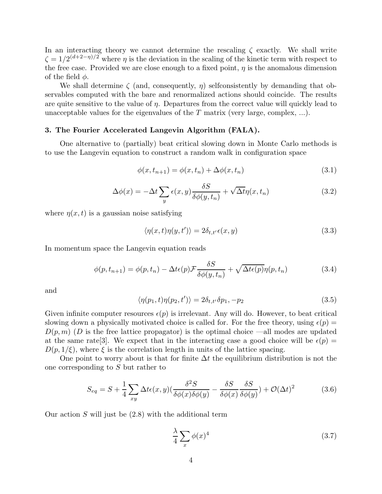In an interacting theory we cannot determine the rescaling  $\zeta$  exactly. We shall write  $\zeta = 1/2^{(d+2-\eta)/2}$  where  $\eta$  is the deviation in the scaling of the kinetic term with respect to the free case. Provided we are close enough to a fixed point,  $\eta$  is the anomalous dimension of the field  $\phi$ .

We shall determine  $\zeta$  (and, consequently,  $\eta$ ) selfconsistently by demanding that observables computed with the bare and renormalized actions should coincide. The results are quite sensitive to the value of  $\eta$ . Departures from the correct value will quickly lead to unacceptable values for the eigenvalues of the  $T$  matrix (very large, complex, ...).

## 3. The Fourier Accelerated Langevin Algorithm (FALA).

One alternative to (partially) beat critical slowing down in Monte Carlo methods is to use the Langevin equation to construct a random walk in configuration space

$$
\phi(x, t_{n+1}) = \phi(x, t_n) + \Delta\phi(x, t_n)
$$
\n(3.1)

$$
\Delta\phi(x) = -\Delta t \sum_{y} \epsilon(x, y) \frac{\delta S}{\delta\phi(y, t_n)} + \sqrt{\Delta t} \eta(x, t_n)
$$
\n(3.2)

where  $\eta(x, t)$  is a gaussian noise satisfying

$$
\langle \eta(x,t)\eta(y,t')\rangle = 2\delta_{t,t'}\epsilon(x,y)
$$
\n(3.3)

In momentum space the Langevin equation reads

$$
\phi(p, t_{n+1}) = \phi(p, t_n) - \Delta t \epsilon(p) \mathcal{F} \frac{\delta S}{\delta \phi(y, t_n)} + \sqrt{\Delta t \epsilon(p)} \eta(p, t_n)
$$
\n(3.4)

and

$$
\langle \eta(p_1, t) \eta(p_2, t') \rangle = 2\delta_{t, t'} \delta p_1, -p_2 \tag{3.5}
$$

Given infinite computer resources  $\epsilon(p)$  is irrelevant. Any will do. However, to beat critical slowing down a physically motivated choice is called for. For the free theory, using  $\epsilon(p)$  =  $D(p, m)$  (D is the free lattice propagator) is the optimal choice —all modes are updated at the same rate |3|. We expect that in the interacting case a good choice will be  $\epsilon(p)$  =  $D(p, 1/\xi)$ , where  $\xi$  is the correlation length in units of the lattice spacing.

One point to worry about is that for finite  $\Delta t$  the equilibrium distribution is not the one corresponding to S but rather to

$$
S_{eq} = S + \frac{1}{4} \sum_{xy} \Delta t \epsilon(x, y) \left( \frac{\delta^2 S}{\delta \phi(x) \delta \phi(y)} - \frac{\delta S}{\delta \phi(x)} \frac{\delta S}{\delta \phi(y)} \right) + \mathcal{O}(\Delta t)^2 \tag{3.6}
$$

Our action  $S$  will just be  $(2.8)$  with the additional term

$$
\frac{\lambda}{4} \sum_{x} \phi(x)^4 \tag{3.7}
$$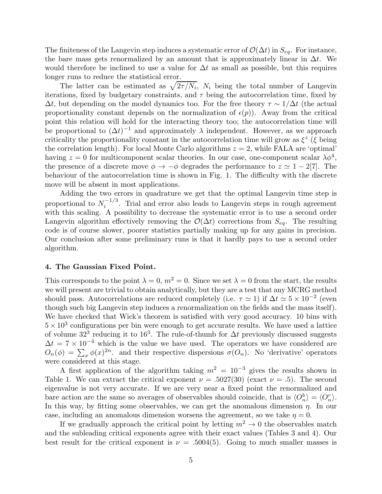The finiteness of the Langevin step induces a systematic error of  $\mathcal{O}(\Delta t)$  in  $S_{eq}$ . For instance, the bare mass gets renormalized by an amount that is approximately linear in  $\Delta t$ . We would therefore be inclined to use a value for  $\Delta t$  as small as possible, but this requires longer runs to reduce the statistical error.

The latter can be estimated as  $\sqrt{2\tau/N_i}$ ,  $N_i$  being the total number of Langevin iterations, fixed by budgetary constraints, and  $\tau$  being the autocorrelation time, fixed by  $\Delta t$ , but depending on the model dynamics too. For the free theory  $\tau \sim 1/\Delta t$  (the actual proportionality constant depends on the normalization of  $\epsilon(p)$ ). Away from the critical point this relation will hold for the interacting theory too; the autocorrelation time will be proportional to  $(\Delta t)^{-1}$  and approximately  $\lambda$  independent. However, as we approach criticality the proportionality constant in the autocorrelation time will grow as  $\xi^z$  ( $\xi$  being the correlation length). For local Monte Carlo algorithms  $z = 2$ , while FALA are 'optimal' having  $z = 0$  for multicomponent scalar theories. In our case, one-component scalar  $\lambda \phi^4$ , the presence of a discrete move  $\phi \to -\phi$  degrades the performance to  $z \simeq 1-2[7]$ . The behaviour of the autocorrelation time is shown in Fig. 1. The difficulty with the discrete move will be absent in most applications.

Adding the two errors in quadrature we get that the optimal Langevin time step is proportional to  $N_i^{-1/3}$  $i<sup>i-1/3</sup>$ . Trial and error also leads to Langevin steps in rough agreement with this scaling. A possibility to decrease the systematic error is to use a second order Langevin algorithm effectively removing the  $\mathcal{O}(\Delta t)$  corrections from  $S_{eq}$ . The resulting code is of course slower, poorer statistics partially making up for any gains in precision. Our conclusion after some preliminary runs is that it hardly pays to use a second order algorithm.

# 4. The Gaussian Fixed Point.

This corresponds to the point  $\lambda = 0$ ,  $m^2 = 0$ . Since we set  $\lambda = 0$  from the start, the results we will present are trivial to obtain analytically, but they are a test that any MCRG method should pass. Autocorrelations are reduced completely (i.e.  $\tau \simeq 1$ ) if  $\Delta t \simeq 5 \times 10^{-2}$  (even though such big Langevin step induces a renormalization on the fields and the mass itself). We have checked that Wick's theorem is satisfied with very good accuracy. 10 bins with  $5 \times 10^3$  configurations per bin were enough to get accurate results. We have used a lattice of volume  $32^3$  reducing it to  $16^3$ . The rule-of-thumb for  $\Delta t$  previously discussed suggests  $\Delta t = 7 \times 10^{-4}$  which is the value we have used. The operators we have considered are  $O_n(\phi) = \sum_x \phi(x)^{2n}$ . and their respective dispersions  $\sigma(O_n)$ . No 'derivative' operators were considered at this stage.

A first application of the algorithm taking  $m^2 = 10^{-3}$  gives the results shown in Table 1. We can extract the critical exponent  $\nu = .5027(30)$  (exact  $\nu = .5$ ). The second eigenvalue is not very accurate. If we are very near a fixed point the renormalized and bare action are the same so averages of observables should coincide, that is  $\langle O_n^b \rangle = \langle O_n^r \rangle$ . In this way, by fitting some observables, we can get the anomalous dimension  $\eta$ . In our case, including an anomalous dimension worsens the agreement, so we take  $\eta = 0$ .

If we gradually approach the critical point by letting  $m^2 \to 0$  the observables match and the subleading critical exponents agree with their exact values (Tables 3 and 4). Our best result for the critical exponent is  $\nu = .5004(5)$ . Going to much smaller masses is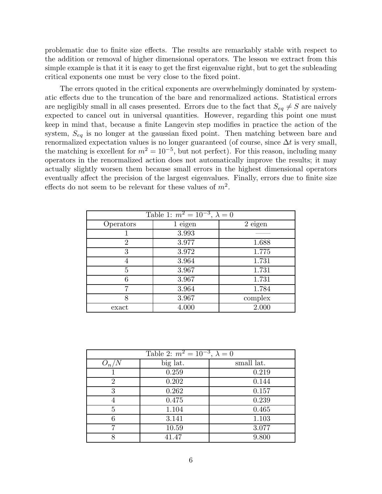problematic due to finite size effects. The results are remarkably stable with respect to the addition or removal of higher dimensional operators. The lesson we extract from this simple example is that it it is easy to get the first eigenvalue right, but to get the subleading critical exponents one must be very close to the fixed point.

The errors quoted in the critical exponents are overwhelmingly dominated by systematic effects due to the truncation of the bare and renormalized actions. Statistical errors are negligibly small in all cases presented. Errors due to the fact that  $S_{eq} \neq S$  are naively expected to cancel out in universal quantities. However, regarding this point one must keep in mind that, because a finite Langevin step modifies in practice the action of the system,  $S_{eq}$  is no longer at the gaussian fixed point. Then matching between bare and renormalized expectation values is no longer guaranteed (of course, since  $\Delta t$  is very small, the matching is excellent for  $m^2 = 10^{-5}$ , but not perfect). For this reason, including many operators in the renormalized action does not automatically improve the results; it may actually slightly worsen them because small errors in the highest dimensional operators eventually affect the precision of the largest eigenvalues. Finally, errors due to finite size effects do not seem to be relevant for these values of  $m^2$ .

| Table 1: $m^2 = 10^{-3}$ , $\lambda = 0$ |           |           |  |
|------------------------------------------|-----------|-----------|--|
| Operators                                | $1$ eigen | $2$ eigen |  |
|                                          | 3.993     |           |  |
| $\overline{2}$                           | 3.977     | 1.688     |  |
| 3                                        | 3.972     | 1.775     |  |
| 4                                        | 3.964     | 1.731     |  |
| 5                                        | 3.967     | 1.731     |  |
| 6                                        | 3.967     | 1.731     |  |
| 7                                        | 3.964     | 1.784     |  |
| 8                                        | 3.967     | complex   |  |
| exact                                    | 4.000     | 2.000     |  |

| Table 2: $m^2 = 10^{-3}$ , $\lambda = 0$ |          |            |
|------------------------------------------|----------|------------|
| $O_n$                                    | big lat. | small lat. |
|                                          | 0.259    | 0.219      |
| $\overline{2}$                           | 0.202    | 0.144      |
| 3                                        | 0.262    | 0.157      |
|                                          | 0.475    | 0.239      |
| 5                                        | 1.104    | 0.465      |
| 6                                        | 3.141    | 1.103      |
|                                          | 10.59    | 3.077      |
|                                          | 41.47    | 9.800      |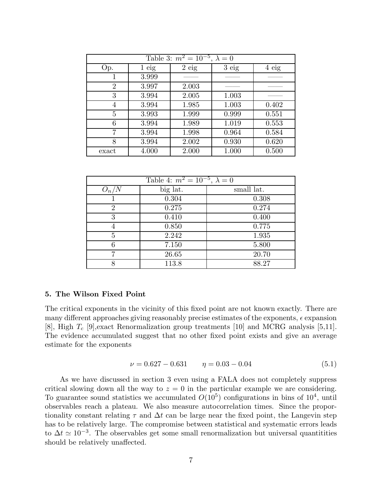| Table 3: $m^2 = 10^{-5}$ , $\lambda = 0$ |         |         |       |         |
|------------------------------------------|---------|---------|-------|---------|
| Op.                                      | $1$ eig | $2$ eig | 3eig  | $4$ eig |
|                                          | 3.999   |         |       |         |
| $\overline{2}$                           | 3.997   | 2.003   |       |         |
| 3                                        | 3.994   | 2.005   | 1.003 |         |
| 4                                        | 3.994   | 1.985   | 1.003 | 0.402   |
| 5                                        | 3.993   | 1.999   | 0.999 | 0.551   |
| 6                                        | 3.994   | 1.989   | 1.019 | 0.553   |
| 7                                        | 3.994   | 1.998   | 0.964 | 0.584   |
| 8                                        | 3.994   | 2.002   | 0.930 | 0.620   |
| exact                                    | 4.000   | 2.000   | 1.000 | 0.500   |

| Table 4: $m^2 = 10^{-5}$ , $\lambda = 0$ |          |            |
|------------------------------------------|----------|------------|
| $O_n/N$                                  | big lat. | small lat. |
|                                          | 0.304    | 0.308      |
| 2                                        | 0.275    | 0.274      |
| 3                                        | 0.410    | 0.400      |
|                                          | 0.850    | 0.775      |
| 5                                        | 2.242    | 1.935      |
| 6                                        | 7.150    | 5.800      |
| 7                                        | 26.65    | 20.70      |
| 8                                        | 113.8    | 88.27      |

## 5. The Wilson Fixed Point

The critical exponents in the vicinity of this fixed point are not known exactly. There are many different approaches giving reasonably precise estimates of the exponents,  $\epsilon$  expansion [8], High  $T_c$  [9], exact Renormalization group treatments [10] and MCRG analysis [5,11]. The evidence accumulated suggest that no other fixed point exists and give an average estimate for the exponents

$$
\nu = 0.627 - 0.631 \qquad \eta = 0.03 - 0.04 \tag{5.1}
$$

As we have discussed in section 3 even using a FALA does not completely suppress critical slowing down all the way to  $z = 0$  in the particular example we are considering. To guarantee sound statistics we accumulated  $O(10^5)$  configurations in bins of  $10^4$ , until observables reach a plateau. We also measure autocorrelation times. Since the proportionality constant relating  $\tau$  and  $\Delta t$  can be large near the fixed point, the Langevin step has to be relatively large. The compromise between statistical and systematic errors leads to  $\Delta t \simeq 10^{-3}$ . The observables get some small renormalization but universal quantitities should be relatively unaffected.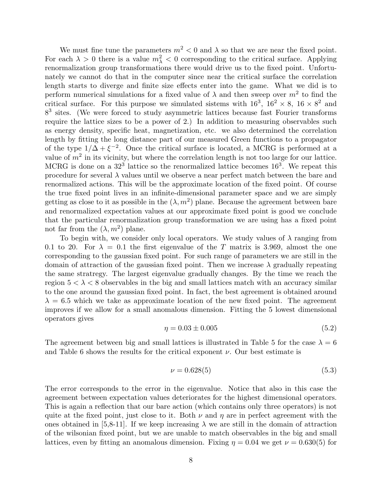We must fine tune the parameters  $m^2 < 0$  and  $\lambda$  so that we are near the fixed point. For each  $\lambda > 0$  there is a value  $m_{\lambda}^2 < 0$  corresponding to the critical surface. Applying renormalization group transformations there would drive us to the fixed point. Unfortunately we cannot do that in the computer since near the critical surface the correlation length starts to diverge and finite size effects enter into the game. What we did is to perform numerical simulations for a fixed value of  $\lambda$  and then sweep over  $m^2$  to find the critical surface. For this purpose we simulated sistems with  $16^3$ ,  $16^2 \times 8$ ,  $16 \times 8^2$  and 8<sup>3</sup> sites. (We were forced to study asymmetric lattices because fast Fourier transforms require the lattice sizes to be a power of 2.) In addition to measuring observables such as energy density, specific heat, magnetization, etc. we also determined the correlation length by fitting the long distance part of our measured Green functions to a propagator of the type  $1/\Delta + \xi^{-2}$ . Once the critical surface is located, a MCRG is performed at a value of  $m^2$  in its vicinity, but where the correlation length is not too large for our lattice. MCRG is done on a  $32<sup>3</sup>$  lattice so the renormalized lattice becomes  $16<sup>3</sup>$ . We repeat this procedure for several  $\lambda$  values until we observe a near perfect match between the bare and renormalized actions. This will be the approximate location of the fixed point. Of course the true fixed point lives in an infinite-dimensional parameter space and we are simply getting as close to it as possible in the  $(\lambda, m^2)$  plane. Because the agreement between bare and renormalized expectation values at our approximate fixed point is good we conclude that the particular renormalization group transformation we are using has a fixed point not far from the  $(\lambda, m^2)$  plane.

To begin with, we consider only local operators. We study values of  $\lambda$  ranging from 0.1 to 20. For  $\lambda = 0.1$  the first eigenvalue of the T matrix is 3.969, almost the one corresponding to the gaussian fixed point. For such range of parameters we are still in the domain of attraction of the gaussian fixed point. Then we increase  $\lambda$  gradually repeating the same stratregy. The largest eigenvalue gradually changes. By the time we reach the region  $5 < \lambda < 8$  observables in the big and small lattices match with an accuracy similar to the one around the gaussian fixed point. In fact, the best agreement is obtained around  $\lambda = 6.5$  which we take as approximate location of the new fixed point. The agreement improves if we allow for a small anomalous dimension. Fitting the 5 lowest dimensional operators gives

$$
\eta = 0.03 \pm 0.005 \tag{5.2}
$$

The agreement between big and small lattices is illustrated in Table 5 for the case  $\lambda = 6$ and Table 6 shows the results for the critical exponent  $\nu$ . Our best estimate is

$$
\nu = 0.628(5) \tag{5.3}
$$

The error corresponds to the error in the eigenvalue. Notice that also in this case the agreement between expectation values deteriorates for the highest dimensional operators. This is again a reflection that our bare action (which contains only three operators) is not quite at the fixed point, just close to it. Both  $\nu$  and  $\eta$  are in perfect agreement with the ones obtained in [5,8-11]. If we keep increasing  $\lambda$  we are still in the domain of attraction of the wilsonian fixed point, but we are unable to match observables in the big and small lattices, even by fitting an anomalous dimension. Fixing  $\eta = 0.04$  we get  $\nu = 0.630(5)$  for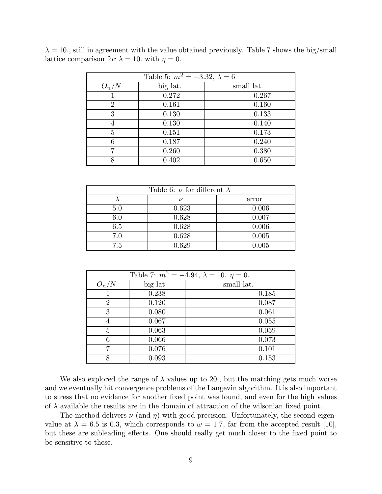| Table 5: $m^2 = -3.32, \lambda = 6$ |          |            |
|-------------------------------------|----------|------------|
| $O_n/N$                             | big lat. | small lat. |
|                                     | 0.272    | 0.267      |
| 2                                   | 0.161    | 0.160      |
| 3                                   | 0.130    | 0.133      |
|                                     | 0.130    | 0.140      |
| 5                                   | 0.151    | 0.173      |
| 6                                   | 0.187    | 0.240      |
| 7                                   | 0.260    | 0.380      |
|                                     | 0.402    | 0.650      |

 $\lambda = 10$ , still in agreement with the value obtained previously. Table 7 shows the big/small lattice comparison for  $\lambda = 10$ . with  $\eta = 0$ .

| Table 6: $\nu$ for different $\lambda$ |                   |       |
|----------------------------------------|-------------------|-------|
|                                        | $^{\prime\prime}$ | error |
| 5.0                                    | 0.623             | 0.006 |
| 6.0                                    | 0.628             | 0.007 |
| 6.5                                    | 0.628             | 0.006 |
| 7.0                                    | 0.628             | 0.005 |
| 7.5                                    | 0.629             | 0.005 |

| Table 7: $m^2 = -4.94$ , $\lambda = 10$ . $\eta = 0$ . |          |            |
|--------------------------------------------------------|----------|------------|
| $O_{n}$                                                | big lat. | small lat. |
|                                                        | 0.238    | 0.185      |
| 2                                                      | 0.120    | 0.087      |
| 3                                                      | 0.080    | 0.061      |
|                                                        | 0.067    | 0.055      |
| 5                                                      | 0.063    | 0.059      |
| 6                                                      | 0.066    | 0.073      |
| ⇁                                                      | 0.076    | 0.101      |
| 8                                                      | 0.093    | 0.153      |

We also explored the range of  $\lambda$  values up to 20., but the matching gets much worse and we eventually hit convergence problems of the Langevin algorithm. It is also important to stress that no evidence for another fixed point was found, and even for the high values of  $\lambda$  available the results are in the domain of attraction of the wilsonian fixed point.

The method delivers  $\nu$  (and  $\eta$ ) with good precision. Unfortunately, the second eigenvalue at  $\lambda = 6.5$  is 0.3, which corresponds to  $\omega = 1.7$ , far from the accepted result [10], but these are subleading effects. One should really get much closer to the fixed point to be sensitive to these.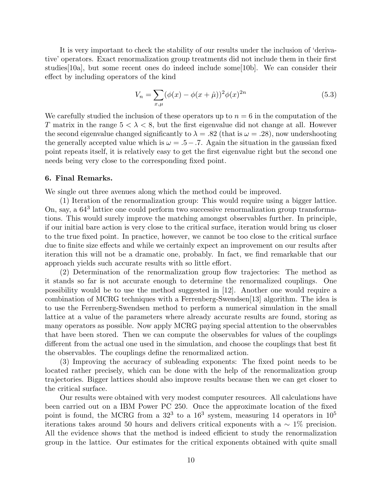It is very important to check the stability of our results under the inclusion of 'derivative' operators. Exact renormalization group treatments did not include them in their first studies[10a], but some recent ones do indeed include some[10b]. We can consider their effect by including operators of the kind

$$
V_n = \sum_{x,\mu} (\phi(x) - \phi(x+\hat{\mu}))^2 \phi(x)^{2n}
$$
 (5.3)

We carefully studied the inclusion of these operators up to  $n = 6$  in the computation of the T matrix in the range  $5 < \lambda < 8$ , but the first eigenvalue did not change at all. However the second eigenvalue changed significantly to  $\lambda = .82$  (that is  $\omega = .28$ ), now undershooting the generally accepted value which is  $\omega = .5-.7.$  Again the situation in the gaussian fixed point repeats itself, it is relatively easy to get the first eigenvalue right but the second one needs being very close to the corresponding fixed point.

### 6. Final Remarks.

We single out three avenues along which the method could be improved.

(1) Iteration of the renormalization group: This would require using a bigger lattice. On, say, a  $64<sup>3</sup>$  lattice one could perform two successive renormalization group transformations. This would surely improve the matching amongst observables further. In principle, if our initial bare action is very close to the critical surface, iteration would bring us closer to the true fixed point. In practice, however, we cannot be too close to the critical surface due to finite size effects and while we certainly expect an improvement on our results after iteration this will not be a dramatic one, probably. In fact, we find remarkable that our approach yields such accurate results with so little effort.

(2) Determination of the renormalization group flow trajectories: The method as it stands so far is not accurate enough to determine the renormalized couplings. One possibility would be to use the method suggested in [12]. Another one would require a combination of MCRG techniques with a Ferrenberg-Swendsen[13] algorithm. The idea is to use the Ferrenberg-Swendsen method to perform a numerical simulation in the small lattice at a value of the parameters where already accurate results are found, storing as many operators as possible. Now apply MCRG paying special attention to the observables that have been stored. Then we can compute the observables for values of the couplings different from the actual one used in the simulation, and choose the couplings that best fit the observables. The couplings define the renormalized action.

(3) Improving the accuracy of subleading exponents: The fixed point needs to be located rather precisely, which can be done with the help of the renormalization group trajectories. Bigger lattices should also improve results because then we can get closer to the critical surface.

Our results were obtained with very modest computer resources. All calculations have been carried out on a IBM Power PC 250. Once the approximate location of the fixed point is found, the MCRG from a  $32^3$  to a  $16^3$  system, measuring 14 operators in  $10^5$ iterations takes around 50 hours and delivers critical exponents with a  $\sim 1\%$  precision. All the evidence shows that the method is indeed efficient to study the renormalization group in the lattice. Our estimates for the critical exponents obtained with quite small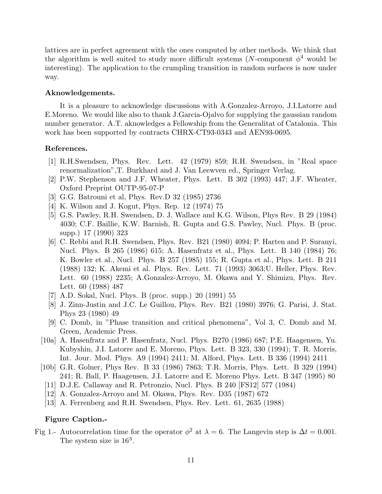lattices are in perfect agreement with the ones computed by other methods. We think that the algorithm is well suited to study more difficult systems (N-component  $\phi^4$  would be interesting). The application to the crumpling transition in random surfaces is now under way.

# Aknowledgements.

It is a pleasure to acknowledge discussions with A.Gonzalez-Arroyo, J.I.Latorre and E.Moreno. We would like also to thank J.Garcia-Ojalvo for supplying the gaussian random number generator. A.T. aknowledges a Fellowship from the Generalitat of Catalonia. This work has been supported by contracts CHRX-CT93-0343 and AEN93-0695.

# References.

- [1] R.H.Swendsen, Phys. Rev. Lett. 42 (1979) 859; R.H. Swendsen, in "Real space renormalization",T. Burkhard and J. Van Leewven ed., Springer Verlag.
- [2] P.W. Stephenson and J.F. Wheater, Phys. Lett. B 302 (1993) 447; J.F. Wheater, Oxford Preprint OUTP-95-07-P
- [3] G.G. Batrouni et al, Phys. Rev.D 32 (1985) 2736
- [4] K. Wilson and J. Kogut, Phys. Rep. 12 (1974) 75
- [5] G.S. Pawley, R.H. Swendsen, D. J. Wallace and K.G. Wilson, Phys Rev. B 29 (1984) 4030; C.F. Baillie, K.W. Barnish, R. Gupta and G.S. Pawley, Nucl. Phys. B (proc. supp.) 17 (1990) 323
- [6] C. Rebbi and R.H. Swendsen, Phys. Rev. B21 (1980) 4094; P. Harten and P. Suranyi, Nucl. Phys. B 265 (1986) 615; A. Hasenfratz et al., Phys. Lett. B 140 (1984) 76; K. Bowler et al., Nucl. Phys. B 257 (1985) 155; R. Gupta et al., Phys. Lett. B 211 (1988) 132; K. Akemi et al. Phys. Rev. Lett. 71 (1993) 3063;U. Heller, Phys. Rev. Lett. 60 (1988) 2235; A.Gonzalez-Arroyo, M. Okawa and Y. Shimizu, Phys. Rev. Lett. 60 (1988) 487
- [7] A.D. Sokal, Nucl. Phys. B (proc. supp.) 20 (1991) 55
- [8] J. Zinn-Justin and J.C. Le Guillou, Phys. Rev. B21 (1980) 3976; G. Parisi, J. Stat. Phys 23 (1980) 49
- [9] C. Domb, in "Phase transition and critical phenomena", Vol 3, C. Domb and M. Green, Academic Press.
- [10a] A. Hasenfratz and P. Hasenfratz, Nucl. Phys. B270 (1986) 687; P.E. Haagensen, Yu. Kubyshin, J.I. Latorre and E. Moreno, Phys. Lett. B 323, 330 (1994); T. R. Morris, Int. Jour. Mod. Phys. A9 (1994) 2411; M. Alford, Phys. Lett. B 336 (1994) 2411
- [10b] G.R. Golner, Phys Rev. B 33 (1986) 7863; T.R. Morris, Phys. Lett. B 329 (1994) 241; R. Ball, P. Haagensen, J.I. Latorre and E. Moreno Phys. Lett. B 347 (1995) 80
	- [11] D.J.E. Callaway and R. Petronzio, Nucl. Phys. B 240 [FS12] 577 (1984)
	- [12] A. Gonzalez-Arroyo and M. Okawa, Phys. Rev. D35 (1987) 672
	- [13] A. Ferrenberg and R.H. Swendsen, Phys. Rev. Lett. 61, 2635 (1988)

# Figure Caption.-

Fig 1.- Autocorrelation time for the operator  $\phi^2$  at  $\lambda = 6$ . The Langevin step is  $\Delta t = 0.001$ . The system size is  $16^3$ .